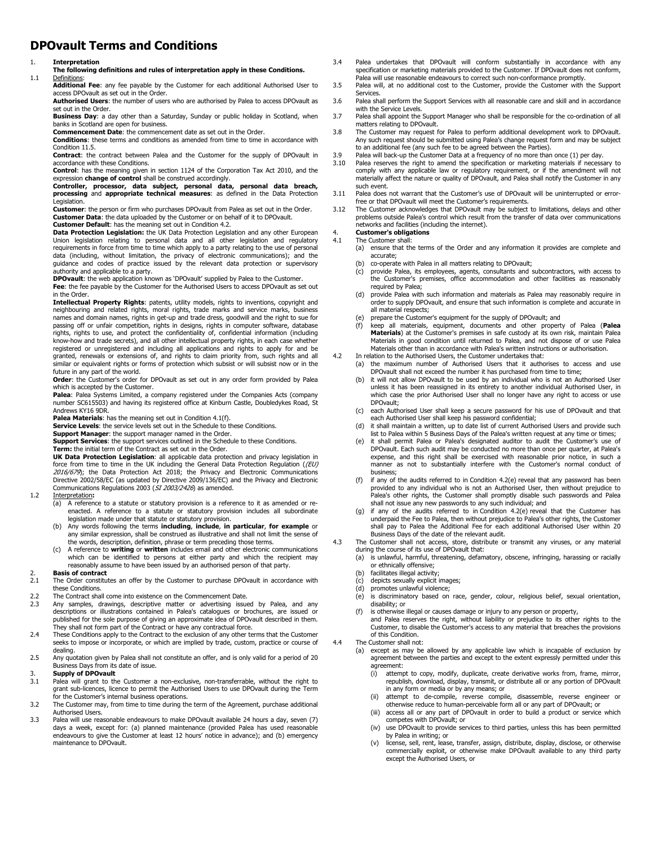# **DPOvault Terms and Conditions**

### 1. **Interpretation**

- **The following definitions and rules of interpretation apply in these Conditions.**
- 1.1 Definitions:

**Additional Fee**: any fee payable by the Customer for each additional Authorised User to access DPOvault as set out in the Order.

**Authorised Users**: the number of users who are authorised by Palea to access DPOvault as set out in the Order.

**Business Day**: a day other than a Saturday, Sunday or public holiday in Scotland, when banks in Scotland are open for business.

**Commencement Date**: the commencement date as set out in the Order.

**Conditions**: these terms and conditions as amended from time to time in accordance with Condition 11.5.

**Contract**: the contract between Palea and the Customer for the supply of DPOvault in accordance with these Conditions.

**Control**: has the meaning given in section 1124 of the Corporation Tax Act 2010, and the expression **change of control** shall be construed accordingly.

**Controller, processor, data subject, personal data, personal data breach, processing** and **appropriate technical measures**: as defined in the Data Protection Legislation.

**Customer**: the person or firm who purchases DPOvault from Palea as set out in the Order. **Customer Data**: the data uploaded by the Customer or on behalf of it to DPOvault.

**Customer Default**: has the meaning set out in Condition 4.2.

**Data Protection Legislation:** the UK Data Protection Legislation and any other European Union legislation relating to personal data and all other legislation and regulatory requirements in force from time to time which apply to a party relating to the use of personal data (including, without limitation, the privacy of electronic communications); and the guidance and codes of practice issued by the relevant data protection or supervisory authority and applicable to a party.

**DPOvault:** the web application known as 'DPOvault' supplied by Palea to the Customer. **Fee**: the fee payable by the Customer for the Authorised Users to access DPOvault as set out

in the Order **Intellectual Property Rights**: patents, utility models, rights to inventions, copyright and neighbouring and related rights, moral rights, trade marks and service marks, business names and domain names, rights in get-up and trade dress, goodwill and the right to sue for passing off or unfair competition, rights in designs, rights in computer software, database rights, rights to use, and protect the confidentiality of, confidential information (including know-how and trade secrets), and all other intellectual property rights, in each case whether registered or unregistered and including all applications and rights to apply for and be granted, renewals or extensions of, and rights to claim priority from, such rights and all similar or equivalent rights or forms of protection which subsist or will subsist now or in the future in any part of the world.

**Order**: the Customer's order for DPOvault as set out in any order form provided by Palea which is accepted by the Customer.

Palea: Palea Systems Limited, a company registered under the Companies Acts (company number SC615503) and having its registered office at Kinburn Castle, Doubledykes Road, St Andrews KY16 9DR.

**Palea Materials**: has the meaning set out in Condition 4.1(f).

**Service Levels**: the service levels set out in the Schedule to these Conditions.

**Support Manager**: the support manager named in the Order.

**Support Services**: the support services outlined in the Schedule to these Conditions.

**Term:** the initial term of the Contract as set out in the Order.

**UK Data Protection Legislation**: all applicable data protection and privacy legislation in force from time to time in the UK including the General Data Protection Regulation ((EU) 2016/679); the Data Protection Act 2018; the Privacy and Electronic Communications Directive 2002/58/EC (as updated by Directive 2009/136/EC) and the Privacy and Electronic Communications Regulations 2003 (SI 2003/2426) as amended.

### 1.2 Interpretation**:**

- (a) A reference to a statute or statutory provision is a reference to it as amended or reenacted. A reference to a statute or statutory provision includes all subordinate legislation made under that statute or statutory provision.
- (b) Any words following the terms **including**, **include**, **in particular**, **for example** or any similar expression, shall be construed as illustrative and shall not limit the sense of the words, description, definition, phrase or term preceding those terms.
- (c) A reference to **writing** or **written** includes email and other electronic communications which can be identified to persons at either party and which the recipient may reasonably assume to have been issued by an authorised person of that party.

- 2. **Basis of contract**  The Order constitutes an offer by the Customer to purchase DPOvault in accordance with these Conditions.
- 2.2 The Contract shall come into existence on the Commencement Date.<br>2.3 Any samples, drawings, descriptive matter or advertising issue
- Any samples, drawings, descriptive matter or advertising issued by Palea, and any descriptions or illustrations contained in Palea's catalogues or brochures, are issued or published for the sole purpose of giving an approximate idea of DPOvault described in them.
- They shall not form part of the Contract or have any contractual force. 2.4 These Conditions apply to the Contract to the exclusion of any other terms that the Customer seeks to impose or incorporate, or which are implied by trade, custom, practice or course of dealing.
- 2.5 Any quotation given by Palea shall not constitute an offer, and is only valid for a period of 20 Business Days from its date of issue.

## 3. **Supply of DPOvault**

- 3.1 Palea will grant to the Customer a non-exclusive, non-transferrable, without the right to grant sub-licences, licence to permit the Authorised Users to use DPOvault during the Term for the Customer's internal business operations.
- 3.2 The Customer may, from time to time during the term of the Agreement, purchase additional Authorised Users.
- 3.3 Palea will use reasonable endeavours to make DPOvault available 24 hours a day, seven (7) days a week, except for: (a) planned maintenance (provided Palea has used reasonable endeavours to give the Customer at least 12 hours' notice in advance); and (b) emergency maintenance to DPOvault.
- 3.4 Palea undertakes that DPOvault will conform substantially in accordance with any specification or marketing materials provided to the Customer. If DPOvault does not conform, Palea will use reasonable endeavours to correct such non-conformance promptly.
- 3.5 Palea will, at no additional cost to the Customer, provide the Customer with the Support Services.
- 3.6 Palea shall perform the Support Services with all reasonable care and skill and in accordance with the Service Levels.
- 3.7 Palea shall appoint the Support Manager who shall be responsible for the co-ordination of all matters relating to DPOvault.
- 3.8 The Customer may request for Palea to perform additional development work to DPOvault. Any such request should be submitted using Palea's change request form and may be subject to an additional fee (any such fee to be agreed between the Parties).
- 3.9 Palea will back-up the Customer Data at a frequency of no more than once  $(1)$  per day.<br>3.10 Palea reserves the right to amend the specification or marketing materials if necess
- Palea reserves the right to amend the specification or marketing materials if necessary to comply with any applicable law or regulatory requirement, or if the amendment will not materially affect the nature or quality of DPOvault, and Palea shall notify the Customer in any such event.
- 3.11 Palea does not warrant that the Customer's use of DPOvault will be uninterrupted or error-
- free or that DPOvault will meet the Customer's requirements. 3.12 The Customer acknowledges that DPOvault may be subject to limitations, delays and other problems outside Palea's control which result from the transfer of data over communications networks and facilities (including the internet).

### 4. **Customer's obligations**

- 4.1 The Customer shall:<br>(a) ensure that the ensure that the terms of the Order and any information it provides are complete and accurate;
	- (b) co-operate with Palea in all matters relating to DPOvault;<br>(c) provide Palea, its employees, agents, consultants and s
	- (c) provide Palea, its employees, agents, consultants and subcontractors, with access to the Customer's premises, office accommodation and other facilities as reasonably required by Palea;
	- (d) provide Palea with such information and materials as Palea may reasonably require in order to supply DPOvault, and ensure that such information is complete and accurate in all material respects;
	- prepare the Customer's equipment for the supply of DPOvault; and
	- (f) keep all materials, equipment, documents and other property of Palea (**Palea Materials**) at the Customer's premises in safe custody at its own risk, maintain Palea Materials in good condition until returned to Palea, and not dispose of or use Palea Materials other than in accordance with Palea's written instructions or authorisation.
- 4.2 In relation to the Authorised Users, the Customer undertakes that:
	- (a) the maximum number of Authorised Users that it authorises to access and use DPOvault shall not exceed the number it has purchased from time to time;
	- (b) it will not allow DPOvault to be used by an individual who is not an Authorised User unless it has been reassigned in its entirety to another individual Authorised User, in which case the prior Authorised User shall no longer have any right to access or use DPOvault;
	- (c) each Authorised User shall keep a secure password for his use of DPOvault and that each Authorised User shall keep his password confidential;
	- (d) it shall maintain a written, up to date list of current Authorised Users and provide such list to Palea within 5 Business Days of the Palea's written request at any time or times;
	- (e) it shall permit Palea or Palea's designated auditor to audit the Customer's use of DPOvault. Each such audit may be conducted no more than once per quarter, at Palea's expense, and this right shall be exercised with reasonable prior notice, in such a manner as not to substantially interfere with the Customer's normal conduct of business;
	- (f) if any of the audits referred to in Condition 4.2(e) reveal that any password has been provided to any individual who is not an Authorised User, then without prejudice to Palea's other rights, the Customer shall promptly disable such passwords and Palea shall not issue any new passwords to any such individual; and (g) if any of the audits referred to in Condition 4.2(e) reveal that the Customer has
	- underpaid the Fee to Palea, then without prejudice to Palea's other rights, the Customer shall pay to Palea the Additional Fee for each additional Authorised User within 20 Business Days of the date of the relevant audit.
- 4.3 The Customer shall not access, store, distribute or transmit any viruses, or any material during the course of its use of DPOvault that:
	- (a) is unlawful, harmful, threatening, defamatory, obscene, infringing, harassing or racially or ethnically offensive;
	- (b) facilitates illegal activity;
	- (c) depicts sexually explicit images;<br>(d) promotes unlawful violence;
	- (d) promotes unlawful violence;<br>(e) is discriminatory based on
	- is discriminatory based on race, gender, colour, religious belief, sexual orientation, disability; or
	- (f) is otherwise illegal or causes damage or injury to any person or property,

and Palea reserves the right, without liability or prejudice to its other rights to the Customer, to disable the Customer's access to any material that breaches the provisions of this Condition.

- 4.4 The Customer shall not:
	- (a) except as may be allowed by any applicable law which is incapable of exclusion by agreement between the parties and except to the extent expressly permitted under this agreement:<br>(i) attem
		- attempt to copy, modify, duplicate, create derivative works from, frame, mirror, republish, download, display, transmit, or distribute all or any portion of DPOvault in any form or media or by any means; or
		- (ii) attempt to de-compile, reverse compile, disassemble, reverse engineer or otherwise reduce to human-perceivable form all or any part of DPOvault; or
		- (iii) access all or any part of DPOvault in order to build a product or service which competes with DPOvault; or
		- (iv) use DPOvault to provide services to third parties, unless this has been permitted by Palea in writing; or
		- (v) license, sell, rent, lease, transfer, assign, distribute, display, disclose, or otherwise commercially exploit, or otherwise make DPOvault available to any third party except the Authorised Users, or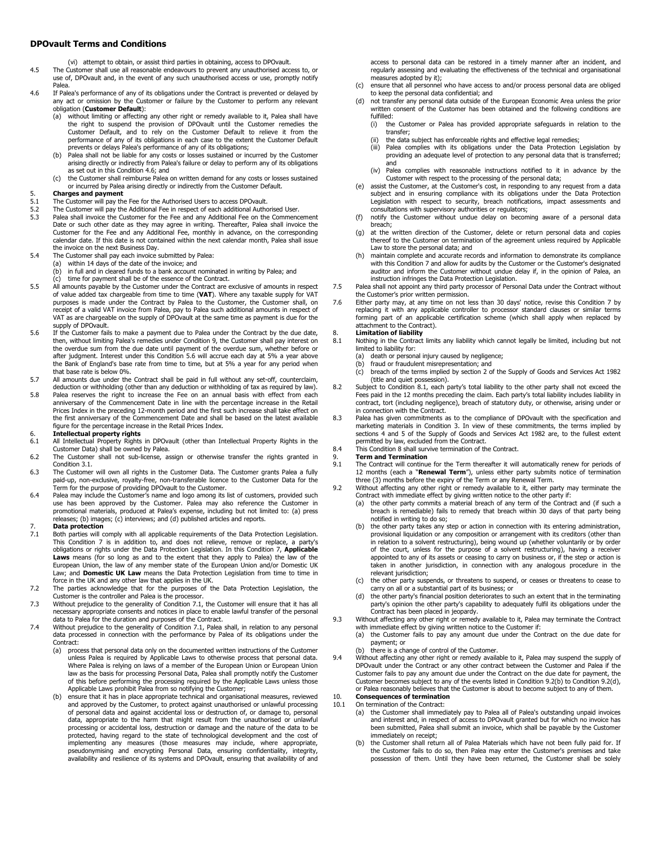### **DPOvault Terms and Conditions**

(vi) attempt to obtain, or assist third parties in obtaining, access to DPOvault.

- 4.5 The Customer shall use all reasonable endeavours to prevent any unauthorised access to, or use of, DPOvault and, in the event of any such unauthorised access or use, promptly notify Palea.
- 4.6 If Palea's performance of any of its obligations under the Contract is prevented or delayed by any act or omission by the Customer or failure by the Customer to perform any relevant obligation (**Customer Default**):
	- (a) without limiting or affecting any other right or remedy available to it, Palea shall have the right to suspend the provision of DPOvault until the Customer remedies the Customer Default, and to rely on the Customer Default to relieve it from the performance of any of its obligations in each case to the extent the Customer Default prevents or delays Palea's performance of any of its obligations;
	- (b) Palea shall not be liable for any costs or losses sustained or incurred by the Customer arising directly or indirectly from Palea's failure or delay to perform any of its obligations as set out in this Condition 4.6; and
	- (c) the Customer shall reimburse Palea on written demand for any costs or losses sustained or incurred by Palea arising directly or indirectly from the Customer Default.

# 5. **Charges and payment**<br>5.1 The Customer will pay the<br>5.2 The Customer will pay the

- 5.1 The Customer will pay the Fee for the Authorised Users to access DPOvault. 5.2 The Customer will pay the Additional Fee in respect of each additional Authorised User.
- 
- 5.3 Palea shall invoice the Customer for the Fee and any Additional Fee on the Commencement Date or such other date as they may agree in writing. Thereafter, Palea shall invoice the<br>Customer for the Fee and any Additional Fee, monthly in advance, on the corresponding<br>calendar date. If this date is not contained w the invoice on the next Business Day.
- 5.4 The Customer shall pay each invoice submitted by Palea:
	- (a) within 14 days of the date of the invoice; and (b) in full and in cleared funds to a bank account
	- (b) in full and in cleared funds to a bank account nominated in writing by Palea; and (c) time for payment shall be of the essence of the Contract.
	- time for payment shall be of the essence of the Contract.
- 5.5 All amounts payable by the Customer under the Contract are exclusive of amounts in respect of value added tax chargeable from time to time (**VAT**). Where any taxable supply for VAT purposes is made under the Contract by Palea to the Customer, the Customer shall, on receipt of a valid VAT invoice from Palea, pay to Palea such additional amounts in respect of VAT as are chargeable on the supply of DPOvault at the same time as payment is due for the supply of DPOvault.
- 5.6 If the Customer fails to make a payment due to Palea under the Contract by the due date, then, without limiting Palea's remedies under Condition 9, the Customer shall pay interest on the overdue sum from the due date until payment of the overdue sum, whether before or after judgment. Interest under this Condition 5.6 will accrue each day at 5% a year above the Bank of England's base rate from time to time, but at 5% a year for any period when that base rate is below 0%.
- 5.7 All amounts due under the Contract shall be paid in full without any set-off, counterclaim, deduction or withholding (other than any deduction or withholding of tax as required by law).
- 5.8 Palea reserves the right to increase the Fee on an annual basis with effect from each anniversary of the Commencement Date in line with the percentage increase in the Retail Prices Index in the preceding 12-month period and the first such increase shall take effect on the first anniversary of the Commencement Date and shall be based on the latest available figure for the percentage increase in the Retail Prices Index.

# 6. **Intellectual property rights**

- All Intellectual Property Rights in DPOvault (other than Intellectual Property Rights in the Customer Data) shall be owned by Palea.
- 6.2 The Customer shall not sub-license, assign or otherwise transfer the rights granted in Condition 3.1.
- 6.3 The Customer will own all rights in the Customer Data. The Customer grants Palea a fully paid-up, non-exclusive, royalty-free, non-transferable licence to the Customer Data for the Term for the purpose of providing DPOvault to the Customer.
- 6.4 Palea may include the Customer's name and logo among its list of customers, provided such use has been approved by the Customer. Palea may also reference the Customer in promotional materials, produced at Palea's expense, including but not limited to: (a) press releases; (b) images; (c) interviews; and (d) published articles and reports.

# 7. **Data protection**<br>7.1 Both parties will only

- Both parties will comply with all applicable requirements of the Data Protection Legislation. This Condition 7 is in addition to, and does not relieve, remove or replace, a party's obligations or rights under the Data Protection Legislation. In this Condition 7, **Applicable Laws** means (for so long as and to the extent that they apply to Palea) the law of the<br>European Union, the law of any member state of the European Union and/or Domestic UK<br>Law; and **Domestic UK Law** means the Data Protect force in the UK and any other law that applies in the UK.
- 7.2 The parties acknowledge that for the purposes of the Data Protection Legislation, the
- Customer is the controller and Palea is the processor. 7.3 Without prejudice to the generality of Condition 7.1, the Customer will ensure that it has all necessary appropriate consents and notices in place to enable lawful transfer of the personal data to Palea for the duration and purposes of the Contract.
- 7.4 Without prejudice to the generality of Condition 7.1, Palea shall, in relation to any personal data processed in connection with the performance by Palea of its obligations under the Contract:
	- (a) process that personal data only on the documented written instructions of the Customer unless Palea is required by Applicable Laws to otherwise process that personal data. Where Palea is relying on laws of a member of the European Union or European Union law as the basis for processing Personal Data, Palea shall promptly notify the Customer of this before performing the processing required by the Applicable Laws unless those Applicable Laws prohibit Palea from so notifying the Customer;
	- (b) ensure that it has in place appropriate technical and organisational measures, reviewed and approved by the Customer, to protect against unauthorised or unlawful processing of personal data and against accidental loss or destruction of, or damage to, personal data, appropriate to the harm that might result from the unauthorised or unlawful processing or accidental loss, destruction or damage and the nature of the data to be protected, having regard to the state of technological development and the cost of implementing any measures (those measures may include, where appropriate,<br>pseudonymising and encrypting Personal Data, ensuring confidentiality, integrity, availability and resilience of its systems and DPOvault, ensuring that availability of and

access to personal data can be restored in a timely manner after an incident, and regularly assessing and evaluating the effectiveness of the technical and organisational measures adopted by it);

- (c) ensure that all personnel who have access to and/or process personal data are obliged to keep the personal data confidential; and
- (d) not transfer any personal data outside of the European Economic Area unless the prior written consent of the Customer has been obtained and the following conditions are fulfilled:<br>(i) the
	- the Customer or Palea has provided appropriate safeguards in relation to the transfer;
	- (ii) the data subject has enforceable rights and effective legal remedies;
	- (iii) Palea complies with its obligations under the Data Protection Legislation by providing an adequate level of protection to any personal data that is transferred; and
	- (iv) Palea complies with reasonable instructions notified to it in advance by the
- Customer with respect to the processing of the personal data; (e) assist the Customer, at the Customer's cost, in responding to any request from a data subject and in ensuring compliance with its obligations under the Data Protection Legislation with respect to security, breach notifications, impact assessments and consultations with supervisory authorities or regulators;
- (f) notify the Customer without undue delay on becoming aware of a personal data breach;
- (g) at the written direction of the Customer, delete or return personal data and copies thereof to the Customer on termination of the agreement unless required by Applicable Law to store the personal data; and
- (h) maintain complete and accurate records and information to demonstrate its compliance with this Condition 7 and allow for audits by the Customer or the Customer's designated auditor and inform the Customer without undue delay if, in the opinion of Palea, an instruction infringes the Data Protection Legislation.
- 7.5 Palea shall not appoint any third party processor of Personal Data under the Contract without
- the Customer's prior written permission. 7.6 Either party may, at any time on not less than 30 days' notice, revise this Condition 7 by replacing it with any applicable controller to processor standard clauses or similar terms forming part of an applicable certification scheme (which shall apply when replaced by attachment to the Contract).
- 8. **Limitation of liability**<br>8.1 Nothing in the Contract
- **Nothing in the Contract limits any liability which cannot legally be limited, including but not** limited to liability for:
	- (a) death or personal injury caused by negligence; (b) fraud or fraudulent misrepresentation; and
	-
- (c) breach of the terms implied by section 2 of the Supply of Goods and Services Act 1982 (title and quiet possession). 8.2 Subject to Condition 8.1, each party's total liability to the other party shall not exceed the
- Fees paid in the 12 months preceding the claim. Each party's total liability includes liability in contract, tort (including negligence), breach of statutory duty, or otherwise, arising under or in connection with the Contract.
- 8.3 Palea has given commitments as to the compliance of DPOvault with the specification and marketing materials in Condition 3. In view of these commitments, the terms implied by sections 4 and 5 of the Supply of Goods and Services Act 1982 are, to the fullest extent permitted by law, excluded from the Contract. 8.4 This Condition 8 shall survive termination of the Contract.
- 
- 9. **Term and Termination**<br>9.1 The Contract will continu
	- The Contract will continue for the Term thereafter it will automatically renew for periods of 12 months (each a "**Renewal Term**"), unless either party submits notice of termination three (3) months before the expiry of the Term or any Renewal Term.
- 9.2 Without affecting any other right or remedy available to it, either party may terminate the Contract with immediate effect by giving written notice to the other party if:
	- (a) the other party commits a material breach of any term of the Contract and (if such a breach is remediable) fails to remedy that breach within 30 days of that party being notified in writing to do so;
	- (b) the other party takes any step or action in connection with its entering administration, provisional liquidation or any composition or arrangement with its creditors (other than in relation to a solvent restructuring), being wound up (whether voluntarily or by order of the court, unless for the purpose of a solvent restructuring), having a receiver appointed to any of its assets or ceasing to carry on business or, if the step or action is taken in another jurisdiction, in connection with any analogous procedure in the relevant jurisdiction;
	- (c) the other party suspends, or threatens to suspend, or ceases or threatens to cease to carry on all or a substantial part of its business; or
	- (d) the other party's financial position deteriorates to such an extent that in the terminating party's opinion the other party's capability to adequately fulfil its obligations under the Contract has been placed in jeopardy.
- 9.3 Without affecting any other right or remedy available to it, Palea may terminate the Contract with immediate effect by giving written notice to the Customer if:
	- (a) the Customer fails to pay any amount due under the Contract on the due date for payment; or
	- there is a change of control of the Customer.
- 9.4 Without affecting any other right or remedy available to it, Palea may suspend the supply of DPOvault under the Contract or any other contract between the Customer and Palea if the Customer fails to pay any amount due under the Contract on the due date for payment, the Customer becomes subject to any of the events listed in Condition 9.2(b) to Condition 9.2(d), or Palea reasonably believes that the Customer is about to become subject to any of them.

### 10. **Consequences of termination**<br>10.1 On termination of the Contract: On termination of the Contract:

- (a) the Customer shall immediately pay to Palea all of Palea's outstanding unpaid invoices and interest and, in respect of access to DPOvault granted but for which no invoice has been submitted, Palea shall submit an invoice, which shall be payable by the Customer immediately on receipt;
- (b) the Customer shall return all of Palea Materials which have not been fully paid for. If the Customer fails to do so, then Palea may enter the Customer's premises and take possession of them. Until they have been returned, the Customer shall be solely